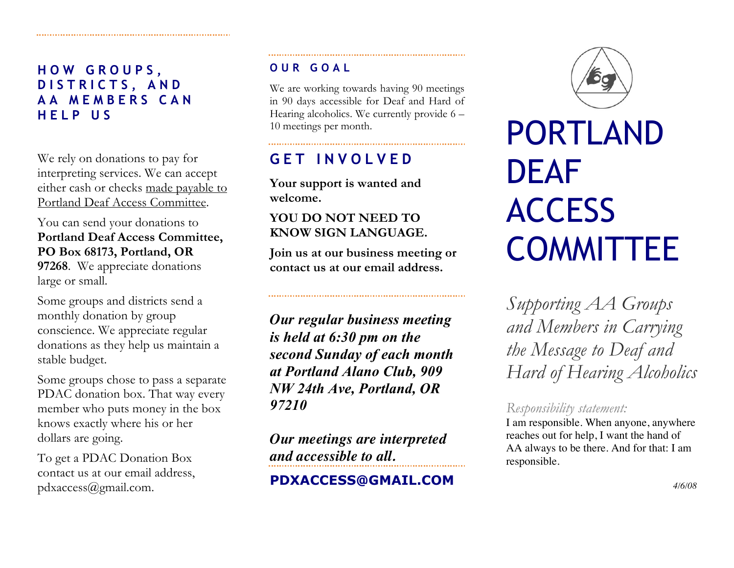**HOW GROUPS, DISTRICTS, AND AA MEMBERS CAN HELP US** 

We rely on donations to pay for interpreting services. We can accept either cash or checks made payable to Portland Deaf Access Committee.

You can send your donations to **Portland Deaf Access Committee, PO Box 68173, Portland, OR 97268**. We appreciate donations

large or small.

Some groups and districts send a monthly donation by group conscience. We appreciate regular donations as they help us maintain a stable budget.

Some groups chose to pass a separate PDAC donation box. That way every member who puts money in the box knows exactly where his or her dollars are going.

To get a PDAC Donation Box contact us at our email address, pdxaccess@gmail.com.

#### **OUR GOAL**

We are working towards having 90 meetings in 90 days accessible for Deaf and Hard of Hearing alcoholics. We currently provide 6 – 10 meetings per month.

## **GET INVOLVED**

**Your support is wanted and welcome.** 

#### **YOU DO NOT NEED TO KNOW SIGN LANGUAGE.**

**Join us at our business meeting or contact us at our email address.**

*Our regular business meeting is held at 6:30 pm on the second Sunday of each month at Portland Alano Club, 909 NW 24th Ave, Portland, OR 97210*

*Our meetings are interpreted and accessible to all.*

**PDXACCESS@GMAIL.COM**



# PORTLAND DEAF **ACCESS** COMMITTEE

*Supporting AA Groups and Members in Carrying the Message to Deaf and Hard of Hearing Alcoholics*

#### *Responsibility statement:*

I am responsible. When anyone, anywhere reaches out for help, I want the hand of AA always to be there. And for that: I am responsible.